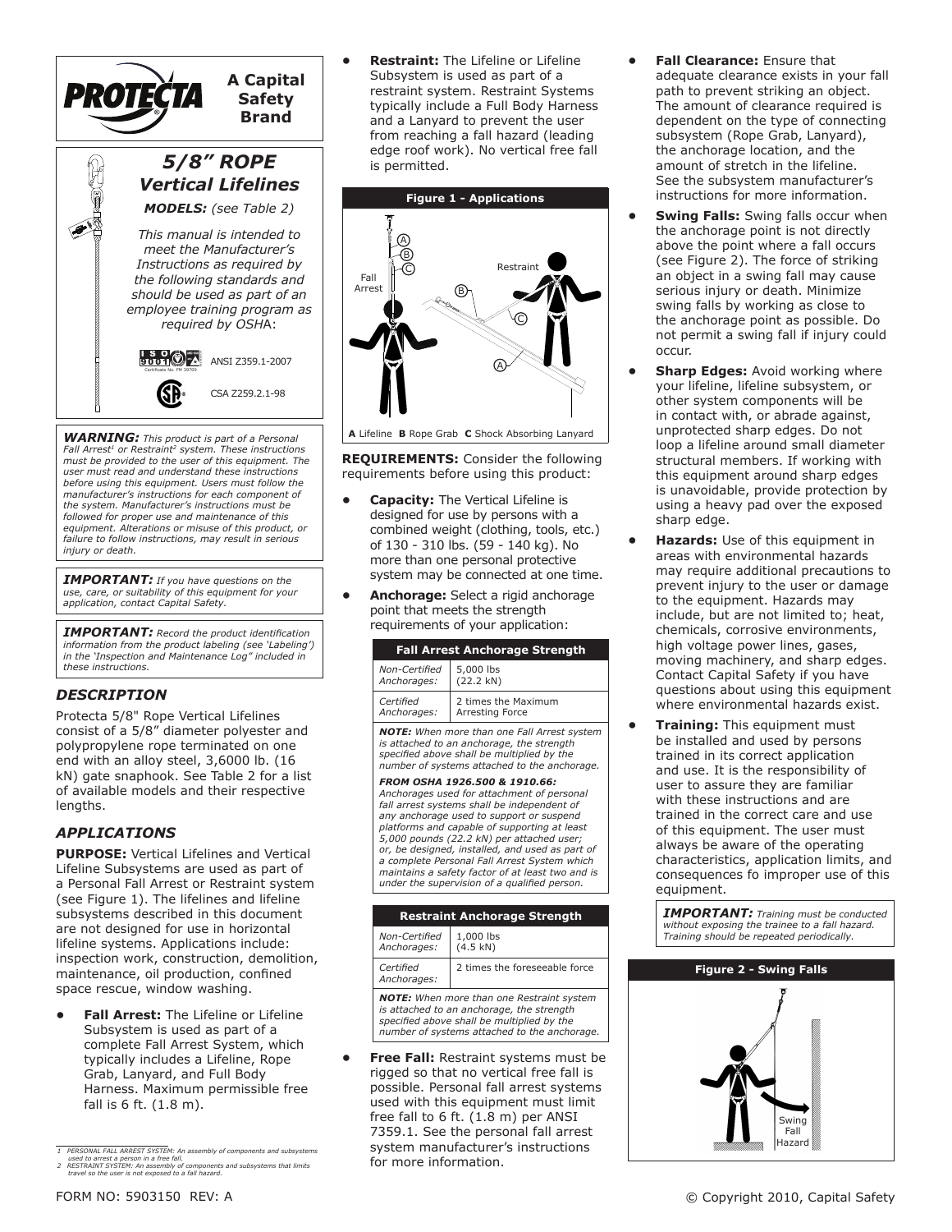

*WARNING: This product is part of a Personal Fall Arrest1 or Restraint2 system. These instructions must be provided to the user of this equipment. The user must read and understand these instructions before using this equipment. Users must follow the manufacturer's instructions for each component of the system. Manufacturer's instructions must be followed for proper use and maintenance of this equipment. Alterations or misuse of this product, or failure to follow instructions, may result in serious injury or death.*

*IMPORTANT: If you have questions on the use, care, or suitability of this equipment for your application, contact Capital Safety.*

*important: Record the product identification information from the product labeling (see 'Labeling') in the 'Inspection and Maintenance Log" included in these instructions.*

# *Description*

Protecta 5/8" Rope Vertical Lifelines consist of a 5/8" diameter polyester and polypropylene rope terminated on one end with an alloy steel, 3,6000 lb. (16 kN) gate snaphook. See Table 2 for a list of available models and their respective lengths.

## *APPLICATIONS*

**PURPOSE:** Vertical Lifelines and Vertical Lifeline Subsystems are used as part of a Personal Fall Arrest or Restraint system (see Figure 1). The lifelines and lifeline subsystems described in this document are not designed for use in horizontal lifeline systems. Applications include: inspection work, construction, demolition, maintenance, oil production, confined space rescue, window washing.

**Fall Arrest:** The Lifeline or Lifeline Subsystem is used as part of a complete Fall Arrest System, which typically includes a Lifeline, Rope Grab, Lanyard, and Full Body Harness. Maximum permissible free fall is 6 ft. (1.8 m).

**Restraint:** The Lifeline or Lifeline Subsystem is used as part of a restraint system. Restraint Systems typically include a Full Body Harness and a Lanyard to prevent the user from reaching a fall hazard (leading edge roof work). No vertical free fall is permitted.



**REQUIREMENTS:** Consider the following requirements before using this product:

- **Capacity:** The Vertical Lifeline is designed for use by persons with a combined weight (clothing, tools, etc.) of 130 - 310 lbs. (59 - 140 kg). No more than one personal protective system may be connected at one time.
- **Anchorage:** Select a rigid anchorage point that meets the strength requirements of your application:

| <b>Fall Arrest Anchorage Strength</b> |                     |  |  |  |
|---------------------------------------|---------------------|--|--|--|
| Non-Certified                         | 5,000 lbs           |  |  |  |
| Anchorages:                           | (22.2 kN)           |  |  |  |
| Certified                             | 2 times the Maximum |  |  |  |
| Anchorages:                           | Arresting Force     |  |  |  |

*NOTE: When more than one Fall Arrest system is attached to an anchorage, the strength specified above shall be multiplied by the number of systems attached to the anchorage.*

*From osha 1926.500 & 1910.66: Anchorages used for attachment of personal fall arrest systems shall be independent of any anchorage used to support or suspend platforms and capable of supporting at least 5,000 pounds (22.2 kN) per attached user; or, be designed, installed, and used as part of a complete Personal Fall Arrest System which maintains a safety factor of at least two and is under the supervision of a qualified person.*

| <b>Restraint Anchorage Strength</b>              |                               |  |  |  |
|--------------------------------------------------|-------------------------------|--|--|--|
| Non-Certified<br>Anchorages:                     | 1,000 lbs<br>(4.5 kN)         |  |  |  |
| Certified<br>Anchorages:                         | 2 times the foreseeable force |  |  |  |
| <b>NOTE:</b> When more than one Restraint system |                               |  |  |  |

*NOTE: When more than one Restraint system is attached to an anchorage, the strength specified above shall be multiplied by the number of systems attached to the anchorage.*

**Free Fall:** Restraint systems must be rigged so that no vertical free fall is possible. Personal fall arrest systems used with this equipment must limit free fall to 6 ft. (1.8 m) per ANSI 7359.1. See the personal fall arrest system manufacturer's instructions for more information.

- **Fall Clearance:** Ensure that adequate clearance exists in your fall path to prevent striking an object. The amount of clearance required is dependent on the type of connecting subsystem (Rope Grab, Lanyard), the anchorage location, and the amount of stretch in the lifeline. See the subsystem manufacturer's instructions for more information.
- **•** Swing Falls: Swing falls occur when the anchorage point is not directly above the point where a fall occurs (see Figure 2). The force of striking an object in a swing fall may cause serious injury or death. Minimize swing falls by working as close to the anchorage point as possible. Do not permit a swing fall if injury could occur.
- **Sharp Edges: Avoid working where** your lifeline, lifeline subsystem, or other system components will be in contact with, or abrade against, unprotected sharp edges. Do not loop a lifeline around small diameter structural members. If working with this equipment around sharp edges is unavoidable, provide protection by using a heavy pad over the exposed sharp edge.
- **Hazards:** Use of this equipment in areas with environmental hazards may require additional precautions to prevent injury to the user or damage to the equipment. Hazards may include, but are not limited to; heat, chemicals, corrosive environments, high voltage power lines, gases, moving machinery, and sharp edges. Contact Capital Safety if you have questions about using this equipment where environmental hazards exist.
- **Training:** This equipment must be installed and used by persons trained in its correct application and use. It is the responsibility of user to assure they are familiar with these instructions and are trained in the correct care and use of this equipment. The user must always be aware of the operating characteristics, application limits, and consequences fo improper use of this equipment.

*Important: Training must be conducted without exposing the trainee to a fall hazard. Training should be repeated periodically.*



<sup>1</sup> PERSONAL FARLL ARREST SYSTEM: An assembly of components and subsystems<br>2 RESTRAINT SYSTEM: An assembly of components and subsystems that limits<br>2 RESTRAINT SYSTEM: An assembly of components and subsystems that limits<br>tra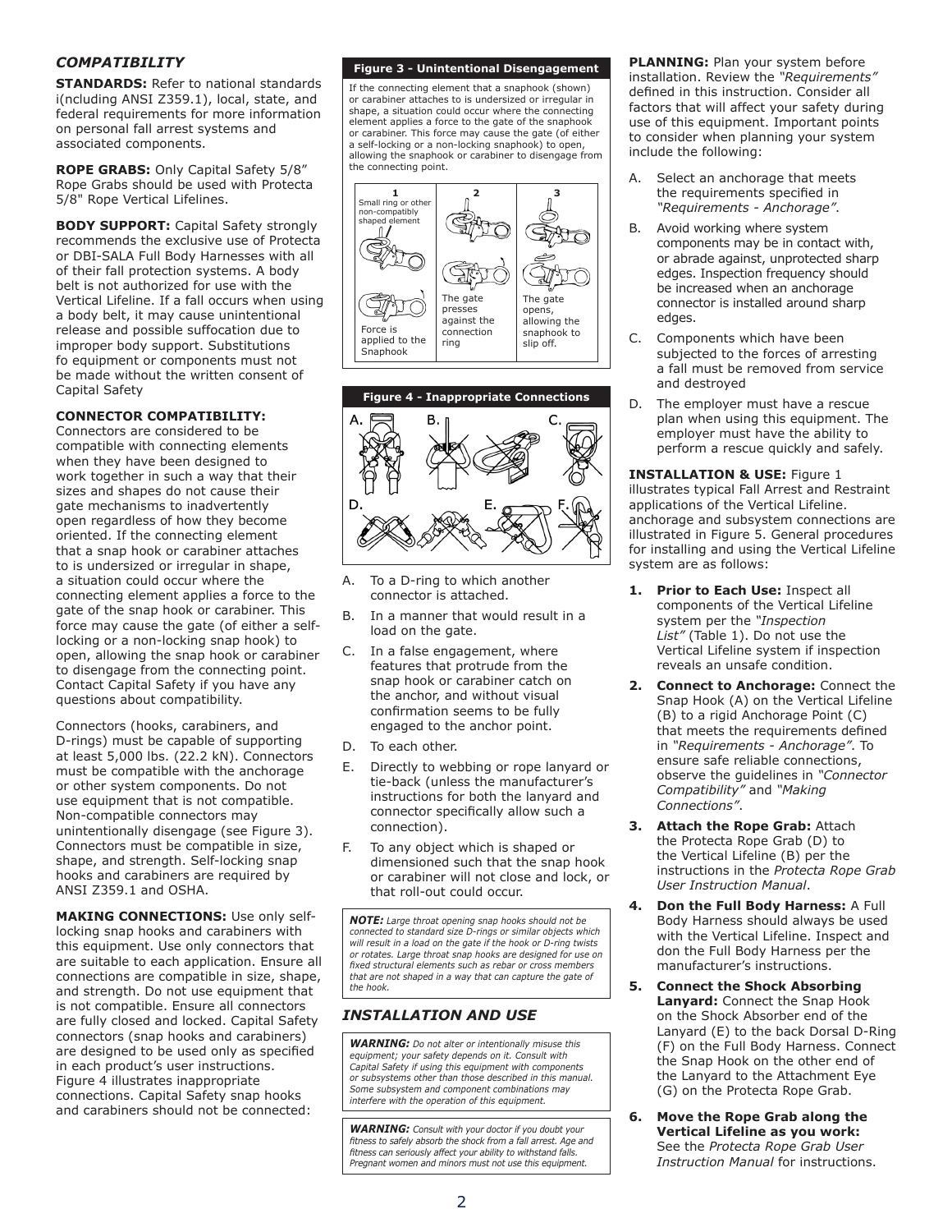# *Compatibility*

**STANDARDS:** Refer to national standards i(ncluding ANSI Z359.1), local, state, and federal requirements for more information on personal fall arrest systems and associated components.

**ROPE GRABS:** Only Capital Safety 5/8" Rope Grabs should be used with Protecta 5/8" Rope Vertical Lifelines.

**BODY SUPPORT:** Capital Safety strongly recommends the exclusive use of Protecta or DBI-SALA Full Body Harnesses with all of their fall protection systems. A body belt is not authorized for use with the Vertical Lifeline. If a fall occurs when using a body belt, it may cause unintentional release and possible suffocation due to improper body support. Substitutions fo equipment or components must not be made without the written consent of Capital Safety

## **CONNECTOR COMPATIBILITY:**

Connectors are considered to be compatible with connecting elements when they have been designed to work together in such a way that their sizes and shapes do not cause their gate mechanisms to inadvertently open regardless of how they become oriented. If the connecting element that a snap hook or carabiner attaches to is undersized or irregular in shape, a situation could occur where the connecting element applies a force to the gate of the snap hook or carabiner. This force may cause the gate (of either a selflocking or a non-locking snap hook) to open, allowing the snap hook or carabiner to disengage from the connecting point. Contact Capital Safety if you have any questions about compatibility.

Connectors (hooks, carabiners, and D-rings) must be capable of supporting at least 5,000 lbs. (22.2 kN). Connectors must be compatible with the anchorage or other system components. Do not use equipment that is not compatible. Non-compatible connectors may unintentionally disengage (see Figure 3). Connectors must be compatible in size, shape, and strength. Self-locking snap hooks and carabiners are required by ANSI Z359.1 and OSHA.

**MAKING CONNECTIONS:** Use only selflocking snap hooks and carabiners with this equipment. Use only connectors that are suitable to each application. Ensure all connections are compatible in size, shape, and strength. Do not use equipment that is not compatible. Ensure all connectors are fully closed and locked. Capital Safety connectors (snap hooks and carabiners) are designed to be used only as specified in each product's user instructions. Figure 4 illustrates inappropriate connections. Capital Safety snap hooks and carabiners should not be connected:

#### **Figure 3 - Unintentional Disengagement**

If the connecting element that a snaphook (shown) or carabiner attaches to is undersized or irregular in shape, a situation could occur where the connecting element applies a force to the gate of the snaphook or carabiner. This force may cause the gate (of either a self-locking or a non-locking snaphook) to open, allowing the snaphook or carabiner to disengage from the connecting point.





- A. To a D-ring to which another connector is attached.
- B. In a manner that would result in a load on the gate.
- C. In a false engagement, where features that protrude from the snap hook or carabiner catch on the anchor, and without visual confirmation seems to be fully engaged to the anchor point.
- D. To each other.
- E. Directly to webbing or rope lanyard or tie-back (unless the manufacturer's instructions for both the lanyard and connector specifically allow such a connection).
- F. To any object which is shaped or dimensioned such that the snap hook or carabiner will not close and lock, or that roll-out could occur.

*NOTE: Large throat opening snap hooks should not be connected to standard size D-rings or similar objects which will result in a load on the gate if the hook or D-ring twists or rotates. Large throat snap hooks are designed for use on fixed structural elements such as rebar or cross members that are not shaped in a way that can capture the gate of the hook.*

## *Installation and use*

*WARNING: Do not alter or intentionally misuse this equipment; your safety depends on it. Consult with Capital Safety if using this equipment with components or subsystems other than those described in this manual. Some subsystem and component combinations may interfere with the operation of this equipment.*

*WARNING: Consult with your doctor if you doubt your fitness to safely absorb the shock from a fall arrest. Age and fitness can seriously affect your ability to withstand falls. Pregnant women and minors must not use this equipment.*

**PLANNING:** Plan your system before installation. Review the *"Requirements"* defined in this instruction. Consider all factors that will affect your safety during use of this equipment. Important points to consider when planning your system include the following:

- A. Select an anchorage that meets the requirements specified in *"Requirements - Anchorage"*.
- B. Avoid working where system components may be in contact with, or abrade against, unprotected sharp edges. Inspection frequency should be increased when an anchorage connector is installed around sharp edges.
- C. Components which have been subjected to the forces of arresting a fall must be removed from service and destroyed
- D. The employer must have a rescue plan when using this equipment. The employer must have the ability to perform a rescue quickly and safely.

**INSTALLATION & USE:** Figure 1 illustrates typical Fall Arrest and Restraint applications of the Vertical Lifeline. anchorage and subsystem connections are illustrated in Figure 5. General procedures for installing and using the Vertical Lifeline system are as follows:

- **1. Prior to Each Use:** Inspect all components of the Vertical Lifeline system per the *"Inspection List"* (Table 1). Do not use the Vertical Lifeline system if inspection reveals an unsafe condition.
- **2. Connect to Anchorage:** Connect the Snap Hook (A) on the Vertical Lifeline (B) to a rigid Anchorage Point (C) that meets the requirements defined in *"Requirements - Anchorage"*. To ensure safe reliable connections, observe the guidelines in *"Connector Compatibility"* and *"Making Connections"*.
- **3. Attach the Rope Grab:** Attach the Protecta Rope Grab (D) to the Vertical Lifeline (B) per the instructions in the *Protecta Rope Grab User Instruction Manual*.
- **4. Don the Full Body Harness:** A Full Body Harness should always be used with the Vertical Lifeline. Inspect and don the Full Body Harness per the manufacturer's instructions.
- **5. Connect the Shock Absorbing Lanyard:** Connect the Snap Hook on the Shock Absorber end of the Lanyard (E) to the back Dorsal D-Ring (F) on the Full Body Harness. Connect the Snap Hook on the other end of the Lanyard to the Attachment Eye (G) on the Protecta Rope Grab.
- **6. Move the Rope Grab along the Vertical Lifeline as you work:** See the *Protecta Rope Grab User Instruction Manual* for instructions.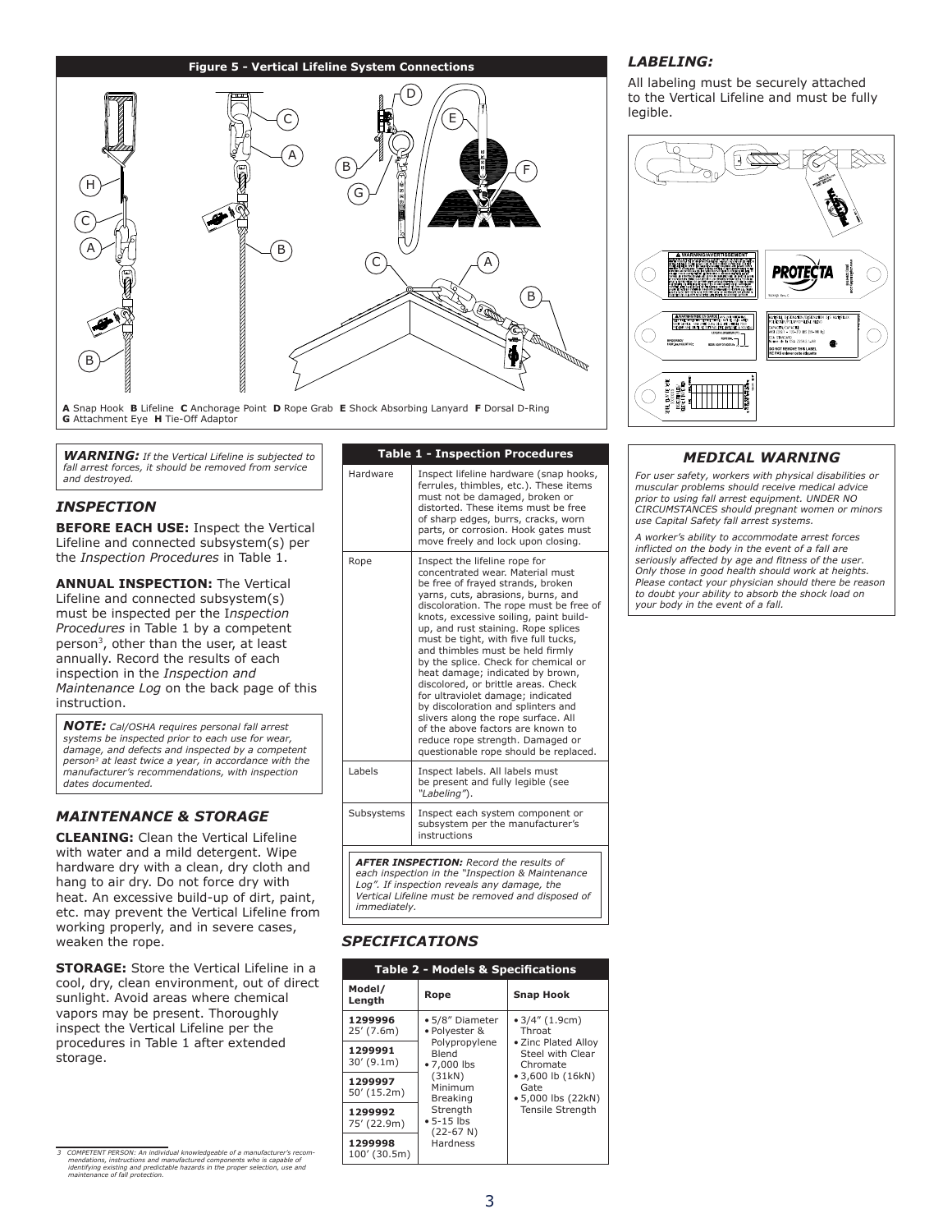### **Figure 5 - Vertical Lifeline System Connections**



**A** Snap Hook **B** Lifeline **C** Anchorage Point **D** Rope Grab **E** Shock Absorbing Lanyard **F** Dorsal D-Ring **G** Attachment Eye **H** Tie-Off Adaptor

*WARNING: If the Vertical Lifeline is subjected to fall arrest forces, it should be removed from service and destroyed.*

# *INspection*

**BEFORE EACH USE:** Inspect the Vertical Lifeline and connected subsystem(s) per the *Inspection Procedures* in Table 1.

**ANNUAL INSPECTION:** The Vertical Lifeline and connected subsystem(s) must be inspected per the I*nspection Procedures* in Table 1 by a competent person3, other than the user, at least annually. Record the results of each inspection in the *Inspection and Maintenance Log* on the back page of this instruction.

*NOTE: Cal/OSHA requires personal fall arrest systems be inspected prior to each use for wear, damage, and defects and inspected by a competent person3 at least twice a year, in accordance with the manufacturer's recommendations, with inspection dates documented.*

# *Maintenance & Storage*

**CLEANING:** Clean the Vertical Lifeline with water and a mild detergent. Wipe hardware dry with a clean, dry cloth and hang to air dry. Do not force dry with heat. An excessive build-up of dirt, paint, etc. may prevent the Vertical Lifeline from working properly, and in severe cases, weaken the rope.

**STORAGE:** Store the Vertical Lifeline in a cool, dry, clean environment, out of direct sunlight. Avoid areas where chemical vapors may be present. Thoroughly inspect the Vertical Lifeline per the procedures in Table 1 after extended storage.

| <b>Table 1 - Inspection Procedures</b>                                                                                                                                                                                 |                                                                                                                                                                                                                                                                                                                                                                                                                                                                                                                                                                                                                                                                                                             |  |  |  |
|------------------------------------------------------------------------------------------------------------------------------------------------------------------------------------------------------------------------|-------------------------------------------------------------------------------------------------------------------------------------------------------------------------------------------------------------------------------------------------------------------------------------------------------------------------------------------------------------------------------------------------------------------------------------------------------------------------------------------------------------------------------------------------------------------------------------------------------------------------------------------------------------------------------------------------------------|--|--|--|
| Hardware                                                                                                                                                                                                               | Inspect lifeline hardware (snap hooks,<br>ferrules, thimbles, etc.). These items<br>must not be damaged, broken or<br>distorted. These items must be free<br>of sharp edges, burrs, cracks, worn<br>parts, or corrosion. Hook gates must<br>move freely and lock upon closing.                                                                                                                                                                                                                                                                                                                                                                                                                              |  |  |  |
| Rope                                                                                                                                                                                                                   | Inspect the lifeline rope for<br>concentrated wear. Material must<br>be free of frayed strands, broken<br>yarns, cuts, abrasions, burns, and<br>discoloration. The rope must be free of<br>knots, excessive soiling, paint build-<br>up, and rust staining. Rope splices<br>must be tight, with five full tucks,<br>and thimbles must be held firmly<br>by the splice. Check for chemical or<br>heat damage; indicated by brown,<br>discolored, or brittle areas. Check<br>for ultraviolet damage; indicated<br>by discoloration and splinters and<br>slivers along the rope surface. All<br>of the above factors are known to<br>reduce rope strength. Damaged or<br>questionable rope should be replaced. |  |  |  |
| Labels<br>Inspect labels. All labels must<br>be present and fully legible (see<br>"Labeling").                                                                                                                         |                                                                                                                                                                                                                                                                                                                                                                                                                                                                                                                                                                                                                                                                                                             |  |  |  |
| Subsystems                                                                                                                                                                                                             | Inspect each system component or<br>subsystem per the manufacturer's<br>instructions                                                                                                                                                                                                                                                                                                                                                                                                                                                                                                                                                                                                                        |  |  |  |
| <b>AFTER INSPECTION: Record the results of</b><br>each inspection in the "Inspection & Maintenance<br>Log". If inspection reveals any damage, the<br>Vertical Lifeline must be removed and disposed of<br>immediately. |                                                                                                                                                                                                                                                                                                                                                                                                                                                                                                                                                                                                                                                                                                             |  |  |  |

## *Specifications*

| <b>Table 2 - Models &amp; Specifications</b> |                                              |                                                                                                                                                                       |  |  |  |  |
|----------------------------------------------|----------------------------------------------|-----------------------------------------------------------------------------------------------------------------------------------------------------------------------|--|--|--|--|
| Model/<br>Length                             | Rope                                         | <b>Snap Hook</b>                                                                                                                                                      |  |  |  |  |
| 1299996<br>$25'$ (7.6m)                      | • 5/8" Diameter<br>· Polyester &             | $\bullet$ 3/4" (1.9cm)<br>Throat<br>• Zinc Plated Allov<br>Steel with Clear<br>Chromate<br>• 3,600 lb (16kN)<br>Gate<br>• 5,000 lbs (22kN)<br><b>Tensile Strenath</b> |  |  |  |  |
| 1299991<br>30'(9.1m)                         | Polypropylene<br><b>Blend</b><br>• 7,000 lbs |                                                                                                                                                                       |  |  |  |  |
| 1299997<br>50' (15.2m)                       | (31kN)<br>Minimum<br><b>Breaking</b>         |                                                                                                                                                                       |  |  |  |  |
| 1299992<br>75' (22.9m)                       | Strength<br>$• 5 - 15$ lbs<br>$(22-67 N)$    |                                                                                                                                                                       |  |  |  |  |
| 1299998<br>$100'$ (30.5m)                    | Hardness                                     |                                                                                                                                                                       |  |  |  |  |

### *Labeling:*

All labeling must be securely attached to the Vertical Lifeline and must be fully legible.



### *Medical Warning*

*For user safety, workers with physical disabilities or muscular problems should receive medical advice prior to using fall arrest equipment. UNDER NO CIRCUMSTANCES should pregnant women or minors use Capital Safety fall arrest systems.*

*A worker's ability to accommodate arrest forces inflicted on the body in the event of a fall are seriously affected by age and fitness of the user. Only those in good health should work at heights. Please contact your physician should there be reason to doubt your ability to absorb the shock load on your body in the event of a fall.*

*<sup>3</sup> Competent person: An individual knowledgeable of a manufacturer's recom-mendations, instructions and manufactured components who is capable of identifying existing and predictable hazards in the proper selection, use and maintenance of fall protection.*